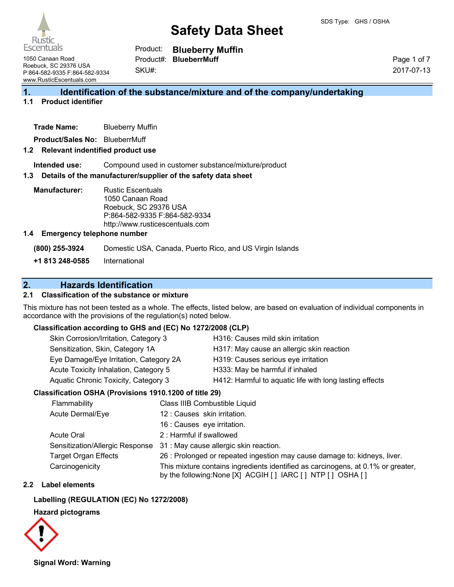

Product: **Blueberry Muffin**

1050 Canaan Road Roebuck, SC 29376 USA P:864-582-9335 F:864-582-9334 www.RusticEscentuals.com

SKU#: Product#: **BlueberrMuff**

Page 1 of 7 2017-07-13

## **1. Identification of the substance/mixture and of the company/undertaking**

#### **1.1 Product identifier**

**Trade Name:** Blueberry Muffin

**Product/Sales No:** BlueberrMuff

#### **1.2 Relevant indentified product use**

**Intended use:** Compound used in customer substance/mixture/product

#### **1.3 Details of the manufacturer/supplier of the safety data sheet**

**Manufacturer:** Rustic Escentuals 1050 Canaan Road Roebuck, SC 29376 USA P:864-582-9335 F:864-582-9334 http://www.rusticescentuals.com

#### **1.4 Emergency telephone number**

**(800) 255-3924** Domestic USA, Canada, Puerto Rico, and US Virgin Islands

**+1 813 248-0585** International

## **2. Hazards Identification**

### **2.1 Classification of the substance or mixture**

This mixture has not been tested as a whole. The effects, listed below, are based on evaluation of individual components in accordance with the provisions of the regulation(s) noted below.

### **Classification according to GHS and (EC) No 1272/2008 (CLP)**

| Skin Corrosion/Irritation, Category 3  | H316: Causes mild skin irritation                       |
|----------------------------------------|---------------------------------------------------------|
| Sensitization, Skin, Category 1A       | H317: May cause an allergic skin reaction               |
| Eye Damage/Eye Irritation, Category 2A | H319: Causes serious eye irritation                     |
| Acute Toxicity Inhalation, Category 5  | H333: May be harmful if inhaled                         |
| Aquatic Chronic Toxicity, Category 3   | H412: Harmful to aquatic life with long lasting effects |
|                                        |                                                         |

### **Classification OSHA (Provisions 1910.1200 of title 29)**

| Flammability                    | Class IIIB Combustible Liquid                                                                                                                  |
|---------------------------------|------------------------------------------------------------------------------------------------------------------------------------------------|
| Acute Dermal/Eye                | 12 : Causes skin irritation.                                                                                                                   |
|                                 | 16 : Causes eye irritation.                                                                                                                    |
| <b>Acute Oral</b>               | 2: Harmful if swallowed                                                                                                                        |
| Sensitization/Allergic Response | 31 : May cause allergic skin reaction.                                                                                                         |
| <b>Target Organ Effects</b>     | 26 : Prolonged or repeated ingestion may cause damage to: kidneys, liver.                                                                      |
| Carcinogenicity                 | This mixture contains ingredients identified as carcinogens, at 0.1% or greater,<br>by the following: None [X] ACGIH [] IARC [] NTP [] OSHA [] |

### **2.2 Label elements**

#### **Labelling (REGULATION (EC) No 1272/2008)**

#### **Hazard pictograms**



**Signal Word: Warning**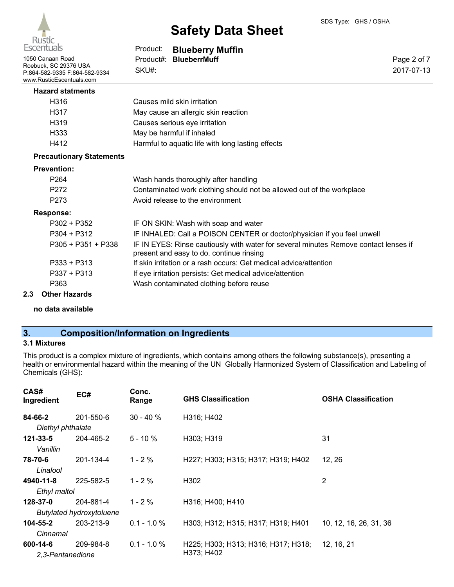

| Escentuals                                                                                             | Product:           | <b>Blueberry Muffin</b>                                                                                                          |                           |
|--------------------------------------------------------------------------------------------------------|--------------------|----------------------------------------------------------------------------------------------------------------------------------|---------------------------|
| 1050 Canaan Road<br>Roebuck, SC 29376 USA<br>P:864-582-9335 F:864-582-9334<br>www.RusticEscentuals.com | Product#:<br>SKU#: | <b>BlueberrMuff</b>                                                                                                              | Page 2 of 7<br>2017-07-13 |
| <b>Hazard statments</b>                                                                                |                    |                                                                                                                                  |                           |
| H <sub>316</sub>                                                                                       |                    | Causes mild skin irritation                                                                                                      |                           |
| H317                                                                                                   |                    | May cause an allergic skin reaction                                                                                              |                           |
| H319                                                                                                   |                    | Causes serious eye irritation                                                                                                    |                           |
| H333                                                                                                   |                    | May be harmful if inhaled                                                                                                        |                           |
| H412                                                                                                   |                    | Harmful to aquatic life with long lasting effects                                                                                |                           |
| <b>Precautionary Statements</b>                                                                        |                    |                                                                                                                                  |                           |
| <b>Prevention:</b>                                                                                     |                    |                                                                                                                                  |                           |
| P <sub>264</sub>                                                                                       |                    | Wash hands thoroughly after handling                                                                                             |                           |
| P272                                                                                                   |                    | Contaminated work clothing should not be allowed out of the workplace                                                            |                           |
| P <sub>273</sub>                                                                                       |                    | Avoid release to the environment                                                                                                 |                           |
| <b>Response:</b>                                                                                       |                    |                                                                                                                                  |                           |
| $P302 + P352$                                                                                          |                    | IF ON SKIN: Wash with soap and water                                                                                             |                           |
| $P304 + P312$                                                                                          |                    | IF INHALED: Call a POISON CENTER or doctor/physician if you feel unwell                                                          |                           |
| P305 + P351 + P338                                                                                     |                    | IF IN EYES: Rinse cautiously with water for several minutes Remove contact lenses if<br>present and easy to do. continue rinsing |                           |
| $P333 + P313$                                                                                          |                    | If skin irritation or a rash occurs: Get medical advice/attention                                                                |                           |
| $P337 + P313$                                                                                          |                    | If eye irritation persists: Get medical advice/attention                                                                         |                           |
| P363                                                                                                   |                    | Wash contaminated clothing before reuse                                                                                          |                           |
| $A + 1 = 1 + 1 = 1 + 1 = 1$                                                                            |                    |                                                                                                                                  |                           |

**2.3 Other Hazards**

**no data available**

## **3. Composition/Information on Ingredients**

## **3.1 Mixtures**

This product is a complex mixture of ingredients, which contains among others the following substance(s), presenting a health or environmental hazard within the meaning of the UN Globally Harmonized System of Classification and Labeling of Chemicals (GHS):

| CAS#<br>Ingredient | EC#                             | Conc.<br>Range | <b>GHS Classification</b>           | <b>OSHA Classification</b> |
|--------------------|---------------------------------|----------------|-------------------------------------|----------------------------|
| 84-66-2            | 201-550-6                       | $30 - 40 \%$   | H316; H402                          |                            |
| Diethyl phthalate  |                                 |                |                                     |                            |
| $121 - 33 - 5$     | 204-465-2                       | $5 - 10 \%$    | H303; H319                          | 31                         |
| Vanillin           |                                 |                |                                     |                            |
| 78-70-6            | 201-134-4                       | $1 - 2 \%$     | H227; H303; H315; H317; H319; H402  | 12, 26                     |
| Linalool           |                                 |                |                                     |                            |
| 4940-11-8          | 225-582-5                       | $1 - 2 \%$     | H302                                | 2                          |
| Ethyl maltol       |                                 |                |                                     |                            |
| 128-37-0           | 204-881-4                       | $1 - 2%$       | H316; H400; H410                    |                            |
|                    | <b>Butylated hydroxytoluene</b> |                |                                     |                            |
| 104-55-2           | 203-213-9                       | $0.1 - 1.0 \%$ | H303; H312; H315; H317; H319; H401  | 10, 12, 16, 26, 31, 36     |
| Cinnamal           |                                 |                |                                     |                            |
| 600-14-6           | 209-984-8                       | $0.1 - 1.0 %$  | H225; H303; H313; H316; H317; H318; | 12, 16, 21                 |
| 2,3-Pentanedione   |                                 |                | H373; H402                          |                            |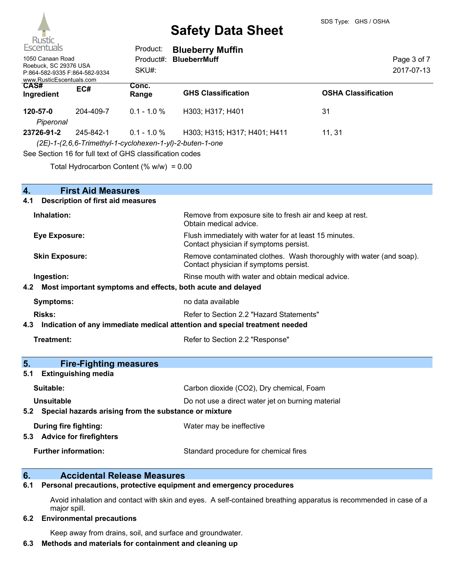

| Escentuals                                                                                             |           | Product:                                                                   | <b>Blueberry Muffin</b>                                                                  |                            |
|--------------------------------------------------------------------------------------------------------|-----------|----------------------------------------------------------------------------|------------------------------------------------------------------------------------------|----------------------------|
| 1050 Canaan Road<br>Roebuck, SC 29376 USA<br>P:864-582-9335 F:864-582-9334<br>www.RusticEscentuals.com |           | Product#:<br>SKU#:                                                         | <b>BlueberrMuff</b>                                                                      | Page 3 of 7<br>2017-07-13  |
| <b>CAS#</b><br>Ingredient                                                                              | EC#       | Conc.<br>Range                                                             | <b>GHS Classification</b>                                                                | <b>OSHA Classification</b> |
| 120-57-0<br>Piperonal                                                                                  | 204-409-7 | $0.1 - 1.0 \%$                                                             | H303; H317; H401                                                                         | 31                         |
| 23726-91-2                                                                                             | 245-842-1 | $0.1 - 1.0 \%$<br>See Section 16 for full text of GHS classification codes | H303; H315; H317; H401; H411<br>(2E)-1-(2,6,6-Trimethyl-1-cyclohexen-1-yl)-2-buten-1-one | 11.31                      |
|                                                                                                        |           |                                                                            |                                                                                          |                            |

Total Hydrocarbon Content  $(% \mathcal{O}_{N})$  = 0.00

| <b>First Aid Measures</b><br>4.                                                   |                                                                                                               |  |
|-----------------------------------------------------------------------------------|---------------------------------------------------------------------------------------------------------------|--|
| <b>Description of first aid measures</b><br>4.1                                   |                                                                                                               |  |
| Inhalation:                                                                       | Remove from exposure site to fresh air and keep at rest.<br>Obtain medical advice.                            |  |
| <b>Eye Exposure:</b>                                                              | Flush immediately with water for at least 15 minutes.<br>Contact physician if symptoms persist.               |  |
| <b>Skin Exposure:</b>                                                             | Remove contaminated clothes. Wash thoroughly with water (and soap).<br>Contact physician if symptoms persist. |  |
| Ingestion:                                                                        | Rinse mouth with water and obtain medical advice.                                                             |  |
| Most important symptoms and effects, both acute and delayed<br>4.2                |                                                                                                               |  |
| <b>Symptoms:</b>                                                                  | no data available                                                                                             |  |
| Risks:                                                                            | Refer to Section 2.2 "Hazard Statements"                                                                      |  |
| Indication of any immediate medical attention and special treatment needed<br>4.3 |                                                                                                               |  |
| <b>Treatment:</b>                                                                 | Refer to Section 2.2 "Response"                                                                               |  |
| 5.<br><b>Fire-Fighting measures</b>                                               |                                                                                                               |  |
| <b>Extinguishing media</b><br>5.1                                                 |                                                                                                               |  |
| Suitable:                                                                         | Carbon dioxide (CO2), Dry chemical, Foam                                                                      |  |
| <b>Unsuitable</b>                                                                 | Do not use a direct water jet on burning material                                                             |  |
| Special hazards arising from the substance or mixture<br>5.2                      |                                                                                                               |  |
| During fire fighting:<br>5.3 Advice for firefighters                              | Water may be ineffective                                                                                      |  |
| <b>Further information:</b>                                                       | Standard procedure for chemical fires                                                                         |  |

## **6. Accidental Release Measures**

**6.1 Personal precautions, protective equipment and emergency procedures**

Avoid inhalation and contact with skin and eyes. A self-contained breathing apparatus is recommended in case of a major spill.

#### **6.2 Environmental precautions**

Keep away from drains, soil, and surface and groundwater.

## **6.3 Methods and materials for containment and cleaning up**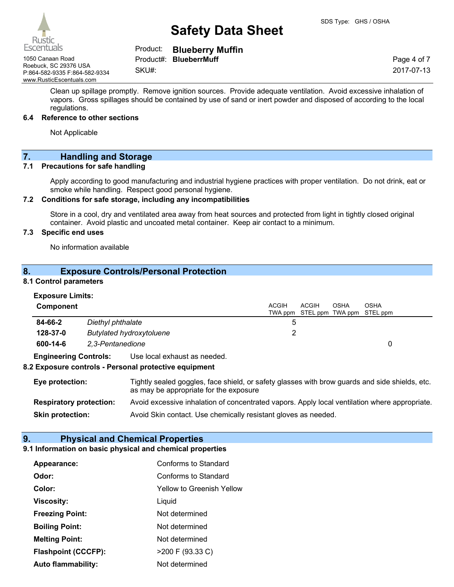## Product: **Blueberry Muffin**

1050 Canaan Road Product#: **BlueberrMuff** Roebuck, SC 29376 USA P:864-582-9335 F:864-582-9334 www.RusticEscentuals.com

SKU#:

Page 4 of 7 2017-07-13

Clean up spillage promptly. Remove ignition sources. Provide adequate ventilation. Avoid excessive inhalation of vapors. Gross spillages should be contained by use of sand or inert powder and disposed of according to the local regulations.

#### **6.4 Reference to other sections**

Not Applicable

## **7. Handling and Storage**

#### **7.1 Precautions for safe handling**

Apply according to good manufacturing and industrial hygiene practices with proper ventilation. Do not drink, eat or smoke while handling. Respect good personal hygiene.

### **7.2 Conditions for safe storage, including any incompatibilities**

Store in a cool, dry and ventilated area away from heat sources and protected from light in tightly closed original container. Avoid plastic and uncoated metal container. Keep air contact to a minimum.

### **7.3 Specific end uses**

No information available

## **8. Exposure Controls/Personal Protection**

#### **8.1 Control parameters**

| <b>Component</b>             |                                                     | <b>ACGIH</b><br>ACGIH<br>TWA ppm STEL ppm TWA ppm STEL ppm | OSHA<br>OSHA |
|------------------------------|-----------------------------------------------------|------------------------------------------------------------|--------------|
| 84-66-2                      | Diethyl phthalate                                   |                                                            |              |
| 128-37-0                     | <b>Butylated hydroxytoluene</b>                     |                                                            |              |
| 600-14-6                     | 2.3-Pentanedione                                    |                                                            |              |
| <b>Engineering Controls:</b> | Use local exhaust as needed.                        |                                                            |              |
|                              | 0 European products. Beneaux materialists continued |                                                            |              |

### **8.2 Exposure controls - Personal protective equipment**

| <b>Eye protection:</b>         | Tightly sealed goggles, face shield, or safety glasses with brow guards and side shields, etc.<br>as may be appropriate for the exposure |
|--------------------------------|------------------------------------------------------------------------------------------------------------------------------------------|
| <b>Respiratory protection:</b> | Avoid excessive inhalation of concentrated vapors. Apply local ventilation where appropriate.                                            |
| <b>Skin protection:</b>        | Avoid Skin contact. Use chemically resistant gloves as needed.                                                                           |

## **9. Physical and Chemical Properties**

## **9.1 Information on basic physical and chemical properties**

| Appearance:                | Conforms to Standard      |
|----------------------------|---------------------------|
| Odor:                      | Conforms to Standard      |
| Color:                     | Yellow to Greenish Yellow |
| <b>Viscosity:</b>          | Liquid                    |
| <b>Freezing Point:</b>     | Not determined            |
| <b>Boiling Point:</b>      | Not determined            |
| <b>Melting Point:</b>      | Not determined            |
| <b>Flashpoint (CCCFP):</b> | >200 F (93.33 C)          |
| Auto flammability:         | Not determined            |

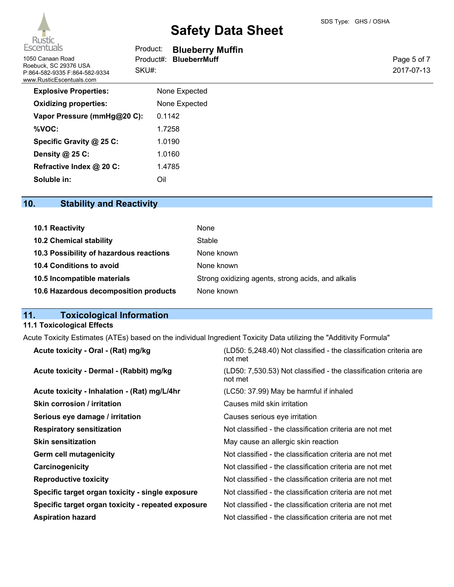| Escentuals                                                                         | <b>Product:</b> Blueberry Muffin |             |
|------------------------------------------------------------------------------------|----------------------------------|-------------|
| 1050 Canaan Road                                                                   | <b>BlueberrMuff</b><br>Product#: | Page 5 of 7 |
| Roebuck, SC 29376 USA<br>P:864-582-9335 F:864-582-9334<br>www.RusticEscentuals.com | SKU#:                            | 2017-07-13  |
| <b>Explosive Properties:</b>                                                       | None Expected                    |             |
| <b>Oxidizing properties:</b>                                                       | None Expected                    |             |

| <b>Explosive Properties:</b> | None Expected |
|------------------------------|---------------|
| <b>Oxidizing properties:</b> | None Expected |
| Vapor Pressure (mmHg@20 C):  | 0.1142        |
| %VOC:                        | 1.7258        |
| Specific Gravity @ 25 C:     | 1.0190        |
| Density @ 25 C:              | 1.0160        |
| Refractive Index @ 20 C:     | 1.4785        |
| Soluble in:                  | Ωil           |

## **10. Stability and Reactivity**

| 10.1 Reactivity                         | None                                               |
|-----------------------------------------|----------------------------------------------------|
| <b>10.2 Chemical stability</b>          | Stable                                             |
| 10.3 Possibility of hazardous reactions | None known                                         |
| 10.4 Conditions to avoid                | None known                                         |
| 10.5 Incompatible materials             | Strong oxidizing agents, strong acids, and alkalis |
| 10.6 Hazardous decomposition products   | None known                                         |

## **11. Toxicological Information**

## **11.1 Toxicological Effects**

Acute Toxicity Estimates (ATEs) based on the individual Ingredient Toxicity Data utilizing the "Additivity Formula"

| (LD50: 5,248.40) Not classified - the classification criteria are<br>not met |
|------------------------------------------------------------------------------|
| (LD50: 7,530.53) Not classified - the classification criteria are<br>not met |
| (LC50: 37.99) May be harmful if inhaled                                      |
| Causes mild skin irritation                                                  |
| Causes serious eye irritation                                                |
| Not classified - the classification criteria are not met                     |
| May cause an allergic skin reaction                                          |
| Not classified - the classification criteria are not met                     |
| Not classified - the classification criteria are not met                     |
| Not classified - the classification criteria are not met                     |
| Not classified - the classification criteria are not met                     |
| Not classified - the classification criteria are not met                     |
| Not classified - the classification criteria are not met                     |
|                                                                              |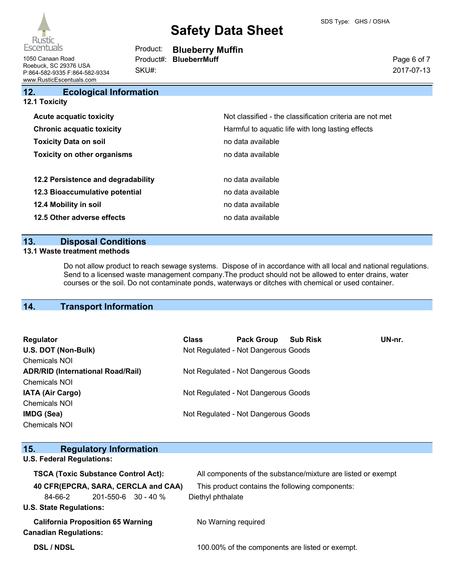

| Escentuals       | Product: | <b>Blueberry Muffin</b>       |
|------------------|----------|-------------------------------|
| 1050 Canaan Road |          | Product#: <b>BlueberrMuff</b> |

Roebuck, SC 29376 USA P:864-582-9335 F:864-582-9334 www.RusticEscentuals.com

**12. Ecological Information**

SKU#:

Page 6 of 7 2017-07-13

| 12.1 Toxicity                      |                                                          |
|------------------------------------|----------------------------------------------------------|
| <b>Acute acquatic toxicity</b>     | Not classified - the classification criteria are not met |
| <b>Chronic acquatic toxicity</b>   | Harmful to aquatic life with long lasting effects        |
| <b>Toxicity Data on soil</b>       | no data available                                        |
| <b>Toxicity on other organisms</b> | no data available                                        |
|                                    |                                                          |
| 12.2 Persistence and degradability | no data available                                        |
| 12.3 Bioaccumulative potential     | no data available                                        |
| 12.4 Mobility in soil              | no data available                                        |
| 12.5 Other adverse effects         | no data available                                        |
|                                    |                                                          |

## **13. Disposal Conditions**

### **13.1 Waste treatment methods**

Do not allow product to reach sewage systems. Dispose of in accordance with all local and national regulations. Send to a licensed waste management company.The product should not be allowed to enter drains, water courses or the soil. Do not contaminate ponds, waterways or ditches with chemical or used container.

## **14. Transport Information**

| Regulator<br>U.S. DOT (Non-Bulk)<br><b>Chemicals NOI</b>         | <b>Class</b> | <b>Pack Group</b><br>Not Regulated - Not Dangerous Goods | <b>Sub Risk</b> | UN-nr. |
|------------------------------------------------------------------|--------------|----------------------------------------------------------|-----------------|--------|
| <b>ADR/RID (International Road/Rail)</b><br><b>Chemicals NOI</b> |              | Not Regulated - Not Dangerous Goods                      |                 |        |
| IATA (Air Cargo)<br><b>Chemicals NOI</b>                         |              | Not Regulated - Not Dangerous Goods                      |                 |        |
| IMDG (Sea)<br><b>Chemicals NOI</b>                               |              | Not Regulated - Not Dangerous Goods                      |                 |        |

| <b>Regulatory Information</b><br>15.                                     |                                                              |
|--------------------------------------------------------------------------|--------------------------------------------------------------|
| <b>U.S. Federal Regulations:</b>                                         |                                                              |
| <b>TSCA (Toxic Substance Control Act):</b>                               | All components of the substance/mixture are listed or exempt |
| 40 CFR(EPCRA, SARA, CERCLA and CAA)                                      | This product contains the following components:              |
| $201 - 550 - 6$ 30 - 40 %<br>84-66-2                                     | Diethyl phthalate                                            |
| <b>U.S. State Regulations:</b>                                           |                                                              |
| <b>California Proposition 65 Warning</b><br><b>Canadian Regulations:</b> | No Warning required                                          |
| <b>DSL / NDSL</b>                                                        | 100.00% of the components are listed or exempt.              |